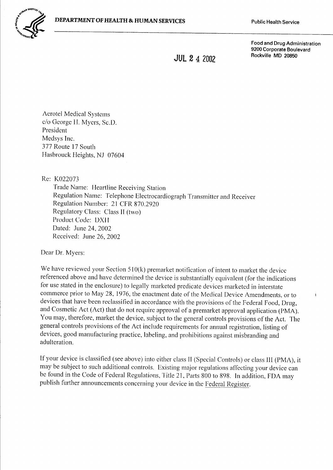

**Food and Drug Administration** 9200 Corporate Boulevard Rockville MD 20850

 $\mathbf{i}$ 

 $JUL$  2 4 2002

**Aerotel Medical Systems** c/o George H. Myers, Sc.D. President Medsys Inc. 377 Route 17 South Hasbrouck Heights, NJ 07604

Re: K022073

Trade Name: Heartline Receiving Station Regulation Name: Telephone Electrocardiograph Transmitter and Receiver Regulation Number: 21 CFR 870.2920 Regulatory Class: Class II (two) Product Code: DXH Dated: June 24, 2002 Received: June 26, 2002

Dear Dr. Myers:

We have reviewed your Section  $510(k)$  premarket notification of intent to market the device referenced above and have determined the device is substantially equivalent (for the indications for use stated in the enclosure) to legally marketed predicate devices marketed in interstate commerce prior to May 28, 1976, the enactment date of the Medical Device Amendments, or to devices that have been reclassified in accordance with the provisions of the Federal Food, Drug, and Cosmetic Act (Act) that do not require approval of a premarket approval application (PMA). You may, therefore, market the device, subject to the general controls provisions of the Act. The general controls provisions of the Act include requirements for annual registration, listing of devices, good manufacturing practice, labeling, and prohibitions against misbranding and adulteration.

If your device is classified (see above) into either class II (Special Controls) or class III (PMA), it may be subject to such additional controls. Existing major regulations affecting your device can be found in the Code of Federal Regulations, Title 21, Parts 800 to 898. In addition, FDA may publish further announcements concerning your device in the Federal Register.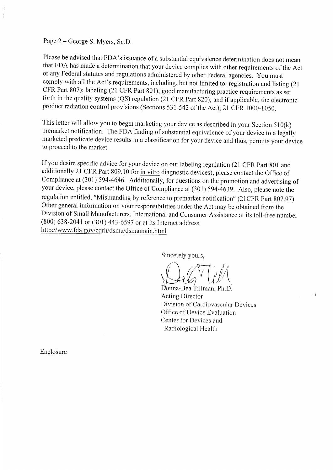## Page 2 – George S. Myers, Sc.D.

Please be advised that FDA's issuance of a substantial equivalence determination does not mean that FDA has made a determination that your device complies with other requirements of the Act or any Federal statutes and regulations administered by other Federal agencies. you must comply with all the Act's requirements, including, but not limited to: registration and listing (21) CFR Part 807); labeling (21 CFR Part 801); good manufacturing practice requirements as set forth in the quality systems (QS) regulation (21 CFR Part 820); and if applicable, the electronic product radiation control provisions (Sections 531-542 of the Act); 21 CFR 1000-1050.

This letter will allow you to begin marketing your device as described in your Section  $510(k)$ premarket notification. The FDA finding of substantial equivalence of your device to a legally marketed predicate device results in a classification for your device and thus, permits your device to proceed to the market.

If you desire specific advice for your device on our labeling regulation (21 CFR part 801 and additionally 21 CFR Part 809.10 for in vitro diagnostic devices), please contact the Office of Compliance at (301) 594-4646. Additionally, for questions on the promotion and advertising of your device, please contact the Office of Compliance at (301) 594-4639. Also, please note the regulation entitled, "Misbranding by reference to premarket notification" (21 CFR Part 807.97). Other general information on your responsibilities under the Act may be obtained from the Division of Small Manufacturers, International and Consumer Assistance at its toll-free number (800) 638-2041 or (301) 443-6597 or at its Interner address http://www.fda.gov/cdrh/dsma/dsmamain.html

Sincerely yours,

D'onna-Bea Tillman, Ph.D. Acting Director Division of Cardiovascular Devices Office of Device Evaluation Center for Devices and Radiological Health

 $\mathbf{I}$ 

Enclosure